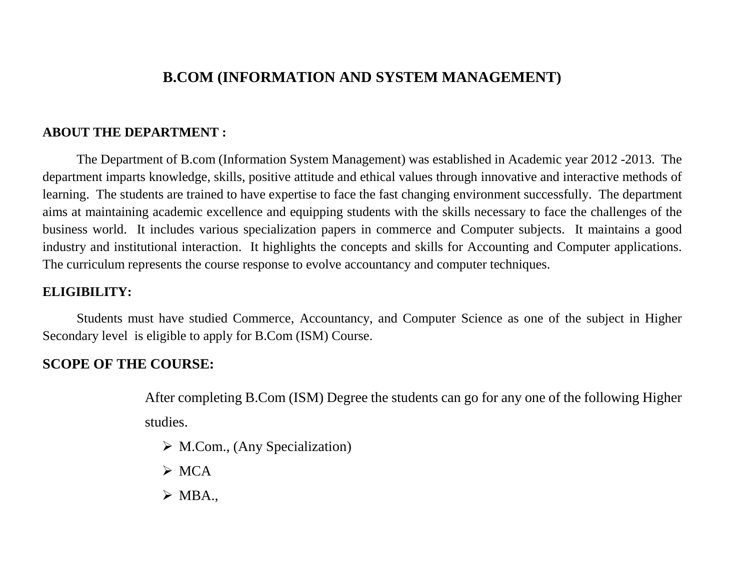# **B.COM (INFORMATION AND SYSTEM MANAGEMENT)**

## **ABOUT THE DEPARTMENT :**

The Department of B.com (Information System Management) was established in Academic year 2012 -2013. The department imparts knowledge, skills, positive attitude and ethical values through innovative and interactive methods of learning. The students are trained to have expertise to face the fast changing environment successfully. The department aims at maintaining academic excellence and equipping students with the skills necessary to face the challenges of the business world. It includes various specialization papers in commerce and Computer subjects. It maintains a good industry and institutional interaction. It highlights the concepts and skills for Accounting and Computer applications. The curriculum represents the course response to evolve accountancy and computer techniques.

## **ELIGIBILITY:**

Students must have studied Commerce, Accountancy, and Computer Science as one of the subject in Higher Secondary level is eligible to apply for B.Com (ISM) Course.

## **SCOPE OF THE COURSE:**

After completing B.Com (ISM) Degree the students can go for any one of the following Higher studies.

- $\triangleright$  M.Com., (Any Specialization)
- $\triangleright$  MCA
- $\triangleright$  MBA.,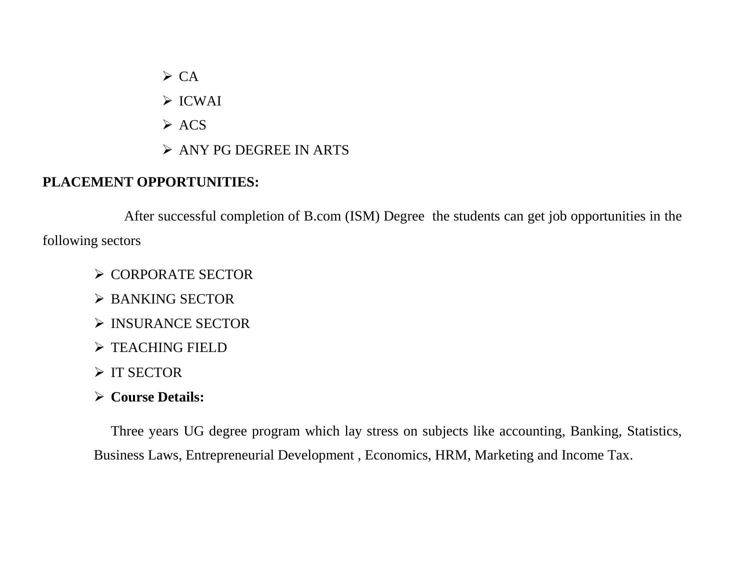$\triangleright$  CA

ICWAI

- $\triangleright$  ACS
- ANY PG DEGREE IN ARTS

# **PLACEMENT OPPORTUNITIES:**

After successful completion of B.com (ISM) Degree the students can get job opportunities in the following sectors

- **≻ CORPORATE SECTOR**
- BANKING SECTOR
- > INSURANCE SECTOR
- $\triangleright$  TEACHING FIELD
- $\triangleright$  IT SECTOR
- **Course Details:**

Three years UG degree program which lay stress on subjects like accounting, Banking, Statistics, Business Laws, Entrepreneurial Development , Economics, HRM, Marketing and Income Tax.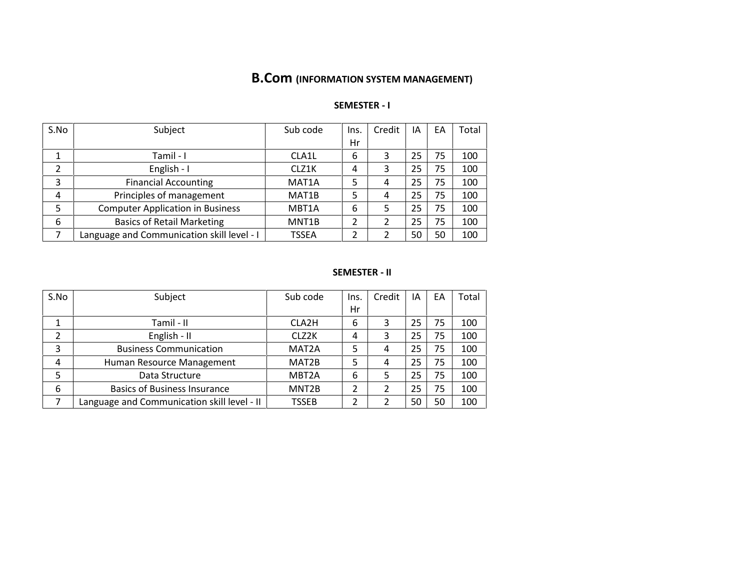# **B.Com (INFORMATION SYSTEM MANAGEMENT)**

### **SEMESTER - I**

| S.No | Subject                                    | Sub code           | Ins. | Credit | ΙA | EA | Total |
|------|--------------------------------------------|--------------------|------|--------|----|----|-------|
|      |                                            |                    | Hr   |        |    |    |       |
| 1    | Tamil - I                                  | CLA1L              | 6    | 3      | 25 | 75 | 100   |
| 2    | English - I                                | CLZ1K              | 4    | 3      | 25 | 75 | 100   |
| 3    | <b>Financial Accounting</b>                | MAT <sub>1</sub> A | 5    | 4      | 25 | 75 | 100   |
| 4    | Principles of management                   | MAT <sub>1</sub> B | 5    | 4      | 25 | 75 | 100   |
| 5    | <b>Computer Application in Business</b>    | MBT <sub>1</sub> A | 6    | 5      | 25 | 75 | 100   |
| 6    | <b>Basics of Retail Marketing</b>          | MNT <sub>1</sub> B |      |        | 25 | 75 | 100   |
|      | Language and Communication skill level - I | <b>TSSEA</b>       |      |        | 50 | 50 | 100   |

#### **SEMESTER - II**

| S.No | Subject                                     | Sub code           | Ins. | Credit | ΙA | EA | Total |
|------|---------------------------------------------|--------------------|------|--------|----|----|-------|
|      |                                             |                    | Hr   |        |    |    |       |
| ┻    | Tamil - II                                  | CLA2H              | 6    | 3      | 25 | 75 | 100   |
| 2    | English - II                                | CLZ <sub>2K</sub>  | 4    | 3      | 25 | 75 | 100   |
| 3    | <b>Business Communication</b>               | MAT <sub>2</sub> A | 5    | 4      | 25 | 75 | 100   |
| 4    | Human Resource Management                   | MAT2B              | 5    | 4      | 25 | 75 | 100   |
| 5    | Data Structure                              | MBT <sub>2</sub> A | 6    | 5      | 25 | 75 | 100   |
| 6    | <b>Basics of Business Insurance</b>         | MNT <sub>2</sub> B | 2    |        | 25 | 75 | 100   |
|      | Language and Communication skill level - II | TSSEB              | 2    |        | 50 | 50 | 100   |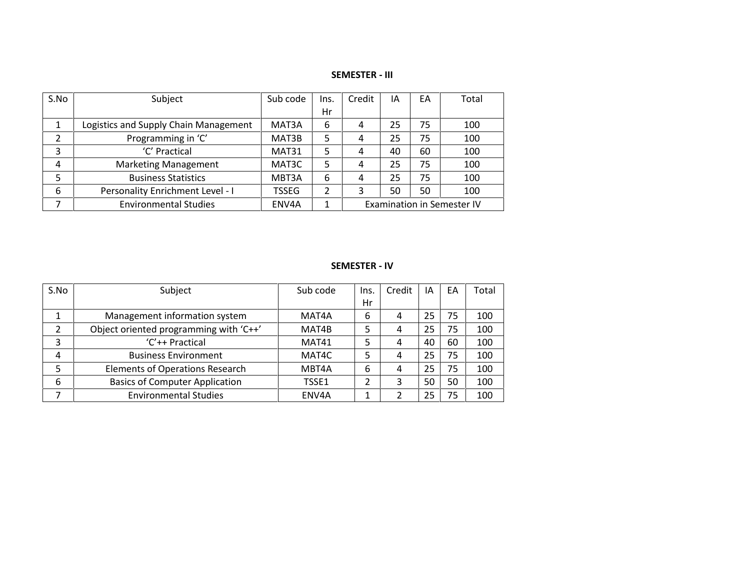### **SEMESTER - III**

| S.No | Subject                               | Sub code     | Ins. | Credit                            | ١A | EA  | Total |  |
|------|---------------------------------------|--------------|------|-----------------------------------|----|-----|-------|--|
|      |                                       |              | Hr   |                                   |    |     |       |  |
|      | Logistics and Supply Chain Management | MAT3A        | 6    | 4                                 | 25 | 75  | 100   |  |
|      | Programming in 'C'                    | MAT3B        | 5    | 4                                 | 25 | 75  | 100   |  |
| 3    | 'C' Practical                         | MAT31        | 5    | 4                                 | 40 | 60  | 100   |  |
| 4    | <b>Marketing Management</b>           | MAT3C        | 5    | 4                                 | 25 | 100 |       |  |
| 5    | <b>Business Statistics</b>            | MBT3A        | 6    | 4                                 | 25 | 75  | 100   |  |
| 6    | Personality Enrichment Level - I      | <b>TSSEG</b> |      |                                   | 50 | 50  | 100   |  |
|      | <b>Environmental Studies</b>          | ENV4A        | 1    | <b>Examination in Semester IV</b> |    |     |       |  |

### **SEMESTER - IV**

| S.No | Subject                                | Sub code | Ins. | Credit | ١A | EA | Total |
|------|----------------------------------------|----------|------|--------|----|----|-------|
|      |                                        |          | Hr   |        |    |    |       |
|      | Management information system          | MAT4A    | 6    | 4      | 25 | 75 | 100   |
| 2    | Object oriented programming with 'C++' | MAT4B    |      | 4      | 25 | 75 | 100   |
| 3    | $'C'++Practical$                       | MAT41    | 5    | 4      | 40 | 60 | 100   |
| 4    | <b>Business Environment</b>            | MAT4C    | 5    | 4      | 25 | 75 | 100   |
| 5    | <b>Elements of Operations Research</b> | MBT4A    | 6    | 4      | 25 | 75 | 100   |
| 6    | <b>Basics of Computer Application</b>  | TSSE1    |      |        | 50 | 50 | 100   |
|      | <b>Environmental Studies</b>           | ENV4A    |      |        | 25 | 75 | 100   |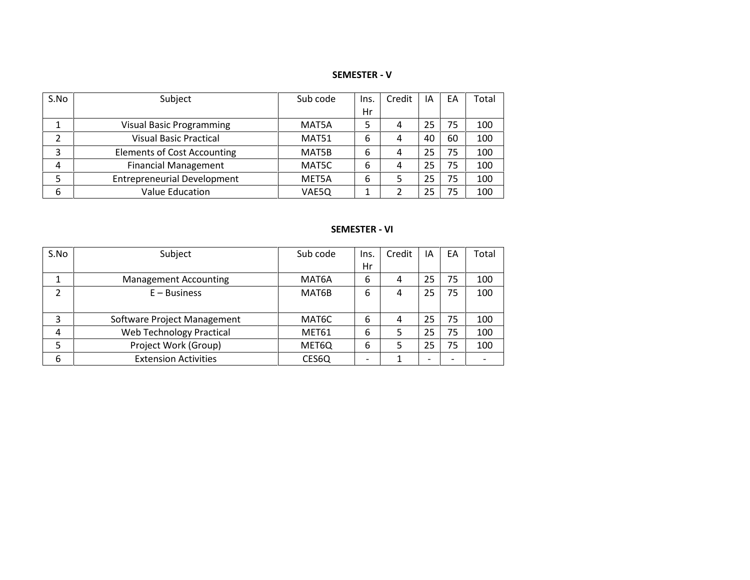**SEMESTER - V**

| S.No | Subject                            | Sub code | Ins. | Credit | IA | EA | Total |
|------|------------------------------------|----------|------|--------|----|----|-------|
|      |                                    |          | Hr   |        |    |    |       |
|      | <b>Visual Basic Programming</b>    | MAT5A    |      | 4      | 25 | 75 | 100   |
| 2    | <b>Visual Basic Practical</b>      | MAT51    | 6    | 4      | 40 | 60 | 100   |
| 3    | <b>Elements of Cost Accounting</b> | MAT5B    | 6    | 4      | 25 | 75 | 100   |
| 4    | <b>Financial Management</b>        | MAT5C    | 6    | 4      | 25 | 75 | 100   |
| 5    | <b>Entrepreneurial Development</b> | MET5A    | 6    |        | 25 | 75 | 100   |
| 6    | <b>Value Education</b>             | VAE5Q    |      |        | 25 | 75 | 100   |

### **SEMESTER - VI**

| S.No | Subject                      | Sub code           | Ins. | Credit | IΑ | EA | Total |
|------|------------------------------|--------------------|------|--------|----|----|-------|
|      |                              |                    | Hr   |        |    |    |       |
|      | <b>Management Accounting</b> | MAT <sub>6</sub> A | 6    | 4      | 25 | 75 | 100   |
| 2    | $E - B$ usiness              | MAT6B              | 6    | 4      | 25 | 75 | 100   |
|      |                              |                    |      |        |    |    |       |
| 3    | Software Project Management  | MAT6C              | 6    | 4      | 25 | 75 | 100   |
| 4    | Web Technology Practical     | MET61              | 6    | 5      | 25 | 75 | 100   |
| 5    | Project Work (Group)         | MET6Q              | 6    | 5      | 25 | 75 | 100   |
| 6    | <b>Extension Activities</b>  | CES6Q              |      |        |    |    |       |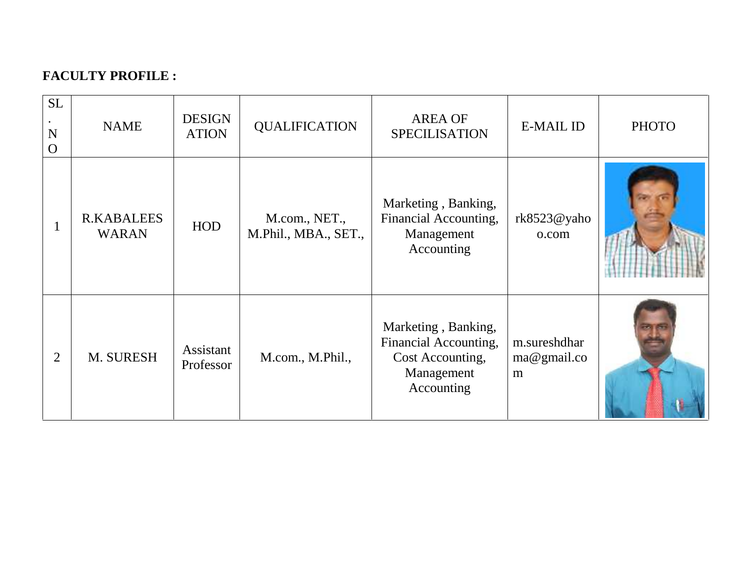# **FACULTY PROFILE :**

| <b>SL</b><br>N<br>$\Omega$ | <b>NAME</b>                       | <b>DESIGN</b><br><b>ATION</b> | <b>QUALIFICATION</b>                  | <b>AREA OF</b><br><b>SPECILISATION</b>                                                       | <b>E-MAIL ID</b>                 | <b>PHOTO</b> |
|----------------------------|-----------------------------------|-------------------------------|---------------------------------------|----------------------------------------------------------------------------------------------|----------------------------------|--------------|
|                            | <b>R.KABALEES</b><br><b>WARAN</b> | <b>HOD</b>                    | M.com., NET.,<br>M.Phil., MBA., SET., | Marketing, Banking,<br>Financial Accounting,<br>Management<br>Accounting                     | rk8523@yaho<br>o.com             |              |
| 2                          | M. SURESH                         | Assistant<br>Professor        | M.com., M.Phil.,                      | Marketing, Banking,<br>Financial Accounting,<br>Cost Accounting,<br>Management<br>Accounting | m.sureshdhar<br>ma@gmail.co<br>m |              |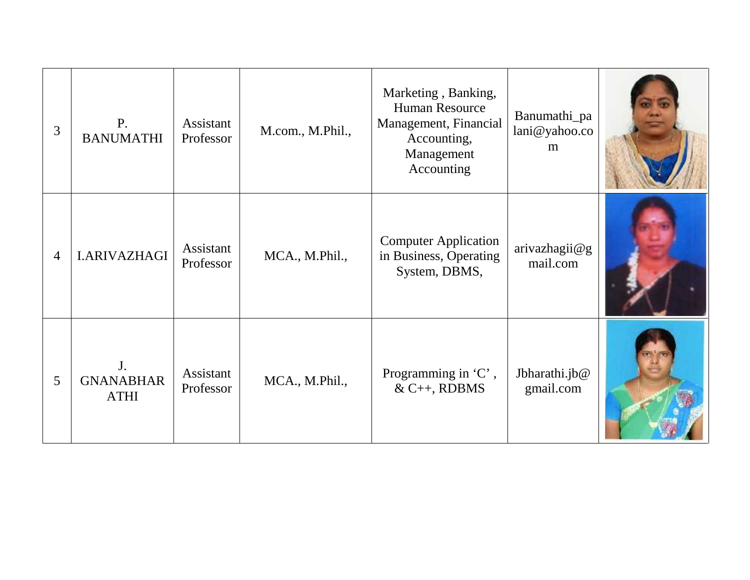| 3              | $P_{\cdot}$<br><b>BANUMATHI</b>                   | Assistant<br>Professor | M.com., M.Phil., | Marketing, Banking,<br>Human Resource<br>Management, Financial<br>Accounting,<br>Management<br>Accounting | Banumathi_pa<br>lani@yahoo.co<br>m |  |
|----------------|---------------------------------------------------|------------------------|------------------|-----------------------------------------------------------------------------------------------------------|------------------------------------|--|
| $\overline{4}$ | <b>I.ARIVAZHAGI</b>                               | Assistant<br>Professor | MCA., M.Phil.,   | <b>Computer Application</b><br>in Business, Operating<br>System, DBMS,                                    | arivazhagi@g<br>mail.com           |  |
| 5              | J <sub>r</sub><br><b>GNANABHAR</b><br><b>ATHI</b> | Assistant<br>Professor | MCA., M.Phil.,   | Programming in 'C',<br>$& C++, RDBMS$                                                                     | Jbharathi.jb@<br>gmail.com         |  |